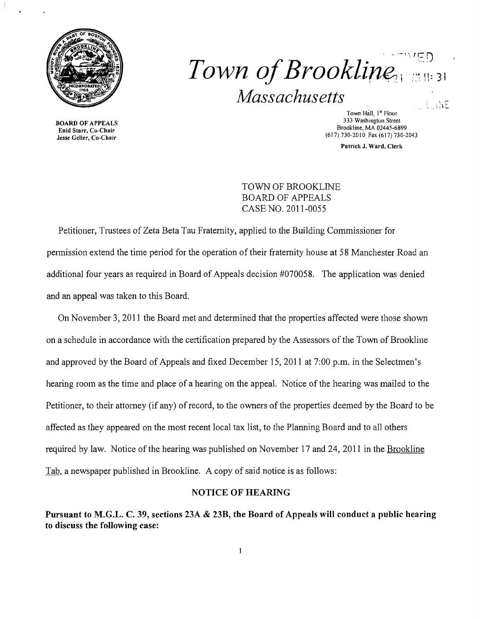

## $\cdot$  " $VED$ *Town of Brookline Massachusetts*   $\langle -i \rangle E$

Town Hall, I<sup>'st</sup> Floor 333 Washington Street 333 Washington Street<br>Enid Starr, Co-Chair<br>Enid Starr, Co-Chair Brookline, MA 02445-6899<br>
Enid Starr, Co-Chair<br>
Jesse Geller, Co-Chair<br>
Start, Co-Chair (617) 730-2010 Fax (617) 730-2043

Patrick J. Ward, Clerk

TOWN OF BROOKLINE BOARD OF APPEALS CASE NO. 2011-0055

Petitioner, Trustees of Zeta Beta Tau Fraternity, applied to the Building Commissioner for permission extend the time period for the operation of their fraternity house at 58 Manchester Road an additional four years as required in Board of Appeals decision #070058. The application was denied and an appeal was taken to this Board.

On November 3,2011 the Board met and determined that the properties affected were those shown on a schedule in accordance with the certification prepared by the Assessors of the Town of Brookline and approved by the Board of Appeals and fixed December 15,2011 at 7:00 p.m. in the Selectmen's hearing room as the time and place of a hearing on the appeal. Notice of the hearing was mailed to the Petitioner, to their attorney (if any) of record, to the owners of the properties deemed by the Board to be affected as they appeared on the most recent local tax list, to the Planning Board and to all others required by law. Notice of the hearing was published on November 17 and 24, 2011 in the Brookline Tab, a newspaper published in Brookline. A copy of said notice is as follows:

## NOTICE OF HEARING

Pursuant to M.G.L. C. 39, sections 23A & 23B, the Board of Appeals will conduct a public hearing to discuss the following case: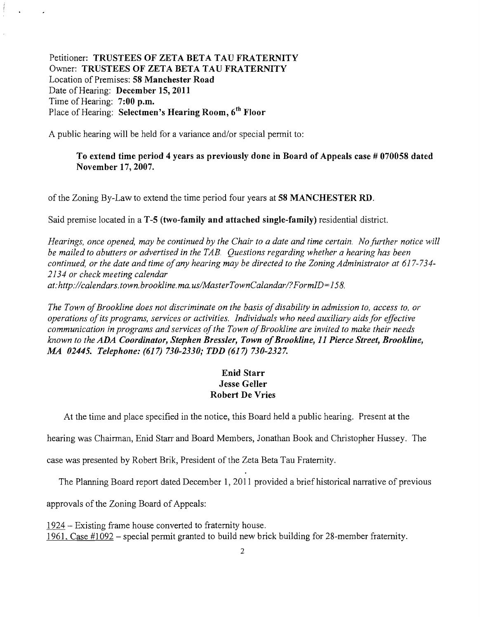Petitioner: TRUSTEES OF ZETA BETA TAU FRATERNITY Owner: TRUSTEES OF ZETA BETA TAU FRATERNITY Location of Premises: 58 Manchester Road Date of Hearing: December 15, 2011 Time of Hearing: 7:00 p.m. Place of Hearing: Selectmen's Hearing Room, *6th* Floor

A public hearing will be held for a variance and/or special permit to:

## To extend time period 4 years as previously done in Board of Appeals case # 070058 dated November 17, 2007.

of the Zoning By-Law to extend the time period four years at 58 MANCHESTER RD.

Said premise located in a T-5 (two-family and attached single-family) residential district.

*Hearings, once opened, may be continued by the Chair to a date and time certain. Nofurther notice will be mailed to abutters or advertised in the TAB. Questions regarding whether a hearing has been continued, or the date and time ofany hearing may be directed to the Zoning Administrator at 617-734 2134 or check meeting calendar at:http://calendars.town.brookline.ma.usIMasterTownCalandarl?FormID*= 158.

The Town of Brookline does not discriminate on the basis of disability in admission to, access to, or *operations ofits programs, services or activities. Individuals who need auxiliary aids for effective communication in programs and services ofthe Town ofBrookline are invited to make their needs known to the ADA Coordinator, Stephen Bressler, Town ofBrookline,* 11 *Pierce Street, Brookline, A1A 02445. Telephone:* (617) *730-2330; TDD* (617) *730-2327.* 

## Enid Starr Jesse Geller Robert De Vries

At the time and place specified in the notice, this Board held a public hearing. Present at the

hearing was Chairman, Enid Starr and Board Members, Jonathan Book and Christopher Hussey. The

case was presented by Robert Brik, President of the Zeta Beta Tau Fraternity.

The Planning Board report dated December 1, 2011 provided a brief historical narrative of previous

approvals of the Zoning Board of Appeals:

1924 - Existing frame house converted to fraternity house. 1961. Case #] 092 - special pennit granted to build new brick building for 28-member fraternity.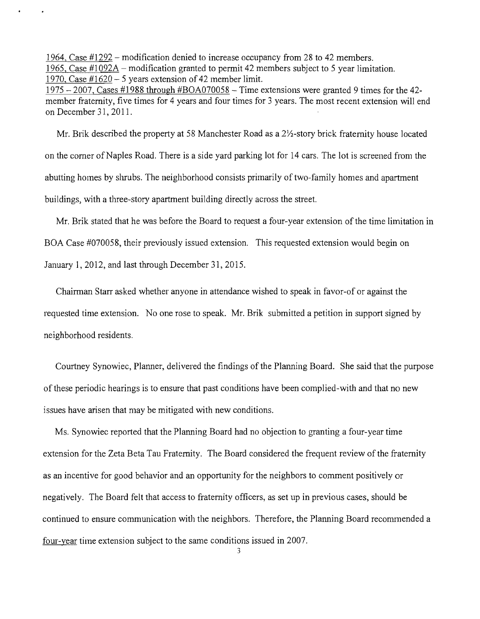1964, Case #1292 - modification denied to increase occupancy from 28 to 42 members. 1965, Case  $\text{\#1092A}$  – modification granted to permit 42 members subject to 5 year limitation. 1970, Case  $\#1620 - 5$  years extension of 42 member limit.

 $1975 - 2007$ , Cases #1988 through #BOA070058 – Time extensions were granted 9 times for the 42member fraternity, five times for 4 years and four times for 3 years. The most recent extension will end on December 31,2011.

Mr. Brik described the property at 58 Manchester Road as a  $2\frac{1}{2}$ -story brick fraternity house located on the corner of Naples Road. There is a side yard parking lot for 14 cars. The lot is screened from the abutting homes by shrubs. The neighborhood consists primarily of two-family homes and apartment buildings, with a three-story apartment building directly across the street.

Mr. Brik stated that he was before the Board to request a four-year extension of the time limitation in BOA Case #070058, their previously issued extension. This requested extension would begin on January 1,2012, and last through December 31, 2015.

Chairman Starr asked whether anyone in attendance wished to speak in favor-of or against the requested time extension. No one rose to speak. Mr. Brik submitted a petition in support signed by neighborhood residents.

Courtney Synowiec, Planner, delivered the findings of the Planning Board. She said that the purpose of these periodic hearings is to ensure that past conditions have been complied-with and that no new issues have arisen that may be mitigated with new conditions.

Ms. Synowiec reported that the Planning Board had no objection to granting a four-year time extension for the Zeta Beta Tau Fraternity. The Board considered the frequent review of the fraternity as an incentive for good behavior and an opportunity for the neighbors to comment positively or negatively. The Board felt that access to fraternity officers, as set up in previous cases, should be continued to ensure communication with the neighbors. Therefore, the Planning Board recommended a four-year time extension subject to the same conditions issued in 2007.

3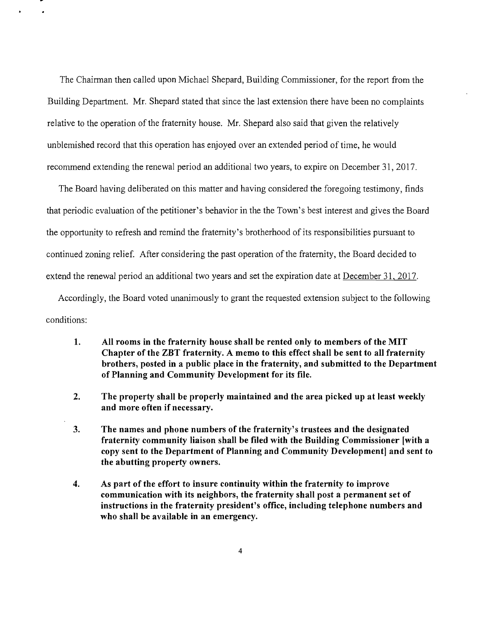The Chairman then called upon Michael Shepard, Building Commissioner, for the report from the Building Department. Mr. Shepard stated that since the last extension there have been no complaints relative to the operation of the fraternity house. Mr. Shepard also said that given the relatively unblemished record that this operation has enjoyed over an extended period of time, he would recommend extending the renewal period an additional two years, to expire on December 31, 2017.

The Board having deliberated on this matter and having considered the foregoing testimony, finds that periodic evaluation of the petitioner's behavior in the the Town's best interest and gives the Board the opportunity to refresh and remind the fraternity's brotherhood of its responsibilities pursuant to continued zoning relief. After considering the past operation of the fraternity, the Board decided to extend the renewal period an additional two years and set the expiration date at December 31, 2017.

Accordingly, the Board voted unanimously to grant the requested extension subject to the following conditions:

- **1. All rooms in the fraternity house shall be rented only to members of the MIT Chapter of the ZBT fraternity. A memo to this effect shall be sent to all fraternity brothers, posted in a public place in the fraternity, and submitted to the Department**  of Planning and Community Development for its file.
- **2. The property shall be properly maintained and the area picked up at least weekly and more often if necessary.**
- **3.** The names and phone numbers of the fraternity's trustees and the designated fraternity community liaison shall be filed with the Building Commissioner [with a **copy sent to the Department of Planning and Community Development] and sent to the abutting property owners.**
- **4. As part of the effort to insure continuity within the fraternity to improve communication with its neighbors, the fraternity shall post a permanent set of instructions in the fraternity president's office, including telephone numbers and who shall be available in an emergency.**